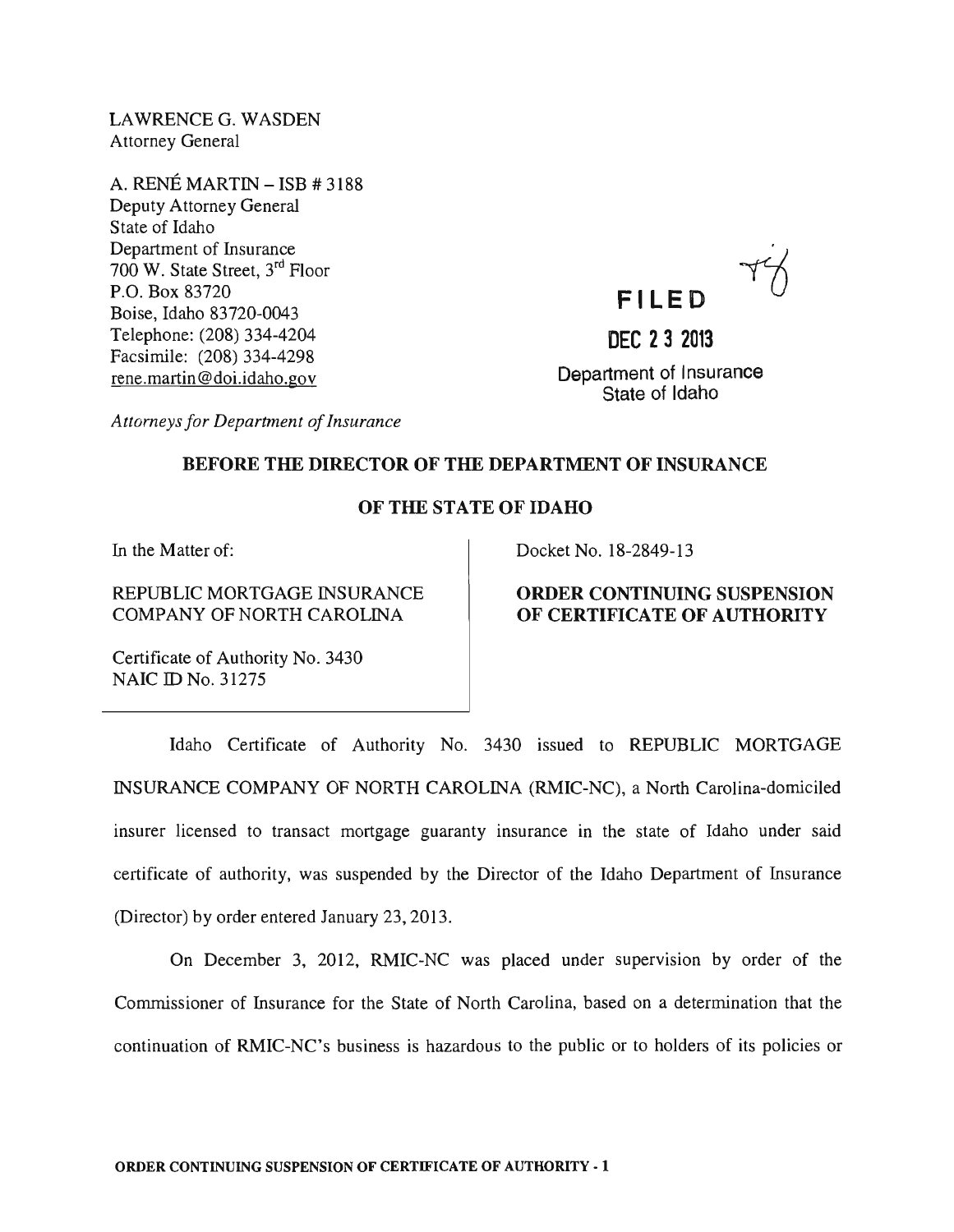LAWRENCE G. WASDEN Attorney General

A. RENE MARTIN - ISB # 3188 Deputy Attorney General State of Idaho Department of Insurance 700 W. State Street, 3rd Floor P.O. Box 83720 Boise, Idaho 83720-0043 Telephone: (208) 334-4204 Facsimile: (208) 334-4298 rene. martin @doi.idaho.gov

**FI LED** 

**DEC 232013** 

Department of Insurance State of Idaho

*Attorneys for Department of Insurance* 

#### BEFORE THE DIRECTOR OF THE DEPARTMENT OF INSURANCE

## OF THE STATE OF IDAHO

In the Matter of:

#### REPUBLIC MORTGAGE INSURANCE COMPANY OF NORTH CAROLINA

Docket No. 18-2849-13

## ORDER CONTINUING SUSPENSION OF CERTIFICATE OF AUTHORITY

Certificate of Authority No. 3430 NAIC ID No. 31275

Idaho Certificate of Authority No. 3430 issued to REPUBLIC MORTGAGE INSURANCE COMPANY OF NORTH CAROLINA (RMIC-NC), a North Carolina-domiciled insurer licensed to transact mortgage guaranty insurance in the state of Idaho under said certificate of authority, was suspended by the Director of the Idaho Department of Insurance (Director) by order entered January 23, 2013.

On December 3, 2012, RMIC-NC was placed under supervision by order of the Commissioner of Insurance for the State of North Carolina, based on a determination that the continuation of RMIC-NC's business is hazardous to the public or to holders of its policies or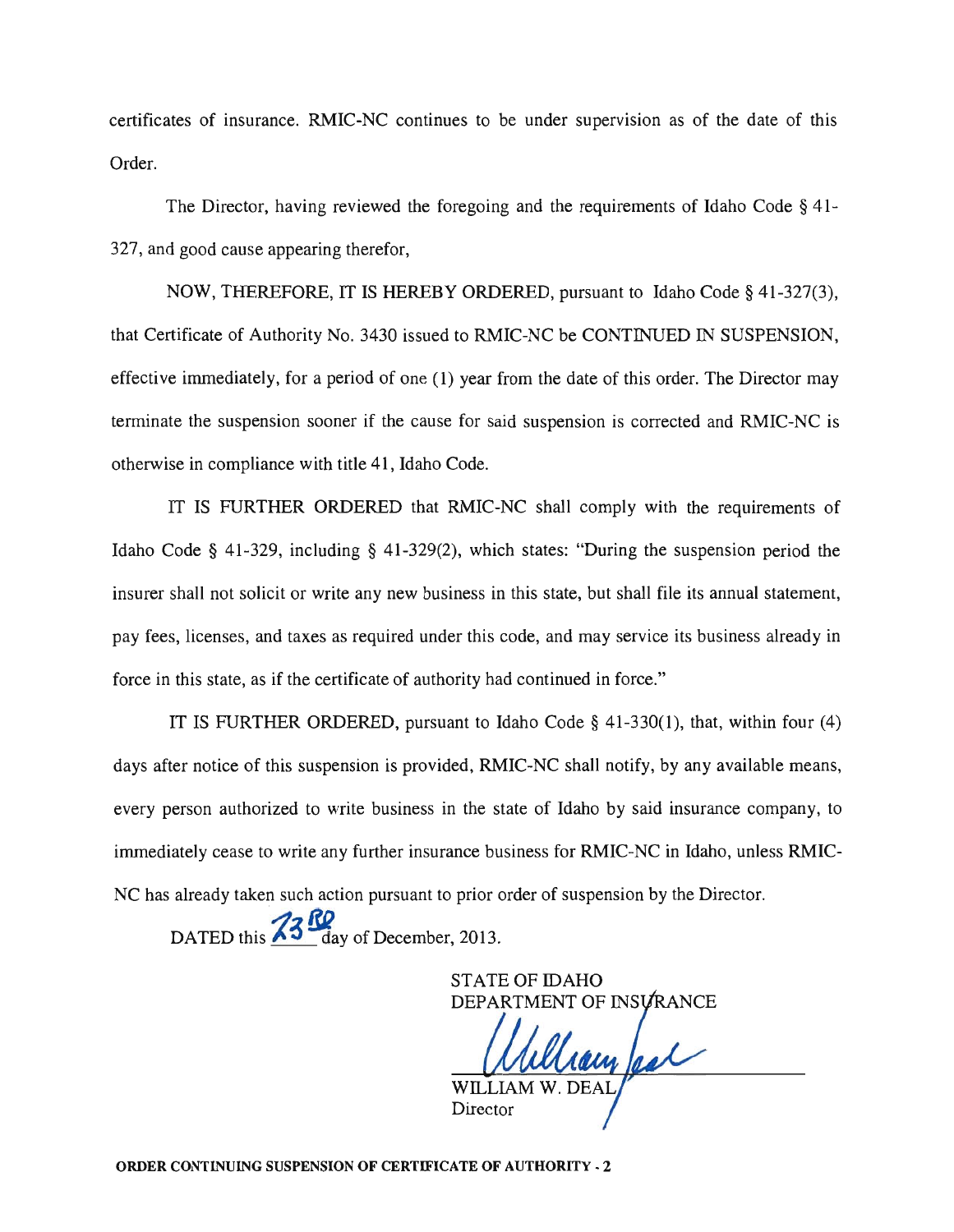certificates of insurance. RMIC-NC continues to be under supervision as of the date of this Order.

The Director, having reviewed the foregoing and the requirements of Idaho Code § 41- 327, and good cause appearing therefor,

NOW, THEREFORE, IT IS HEREBY ORDERED, pursuant to Idaho Code § 41-327(3), that Certificate of Authority No. 3430 issued to RMIC-NC be CONTINUED IN SUSPENSION, effective immediately, for a period of one (1) year from the date of this order. The Director may terminate the suspension sooner if the cause for said suspension is corrected and RMIC-NC is otherwise in compliance with title 41, Idaho Code.

IT IS FURTHER ORDERED that RMIC-NC shall comply with the requirements of Idaho Code § 41-329, including § 41-329(2), which states: "During the suspension period the insurer shall not solicit or write any new business in this state, but shall file its annual statement, pay fees, licenses, and taxes as required under this code, and may service its business already in force in this state, as if the certificate of authority had continued in force."

IT IS FURTHER ORDERED, pursuant to Idaho Code § 41-330(1), that, within four (4) days after notice of this suspension is provided, RMIC-NC shall notify, by any available means, every person authorized to write business in the state of Idaho by said insurance company, to immediately cease to write any further insurance business for RMIC-NC in Idaho, unless RMIC-NC has already taken such action pursuant to prior order of suspension by the Director.

DATED this **13 <sup>RQ</sup>** day of December, 2013.

STATE OF IDAHO DEPARTMENT OF INSURANCE

ram feal

Director

ORDER CONTINUING SUSPENSION OF CERTIFICATE OF AUTHORITY· 2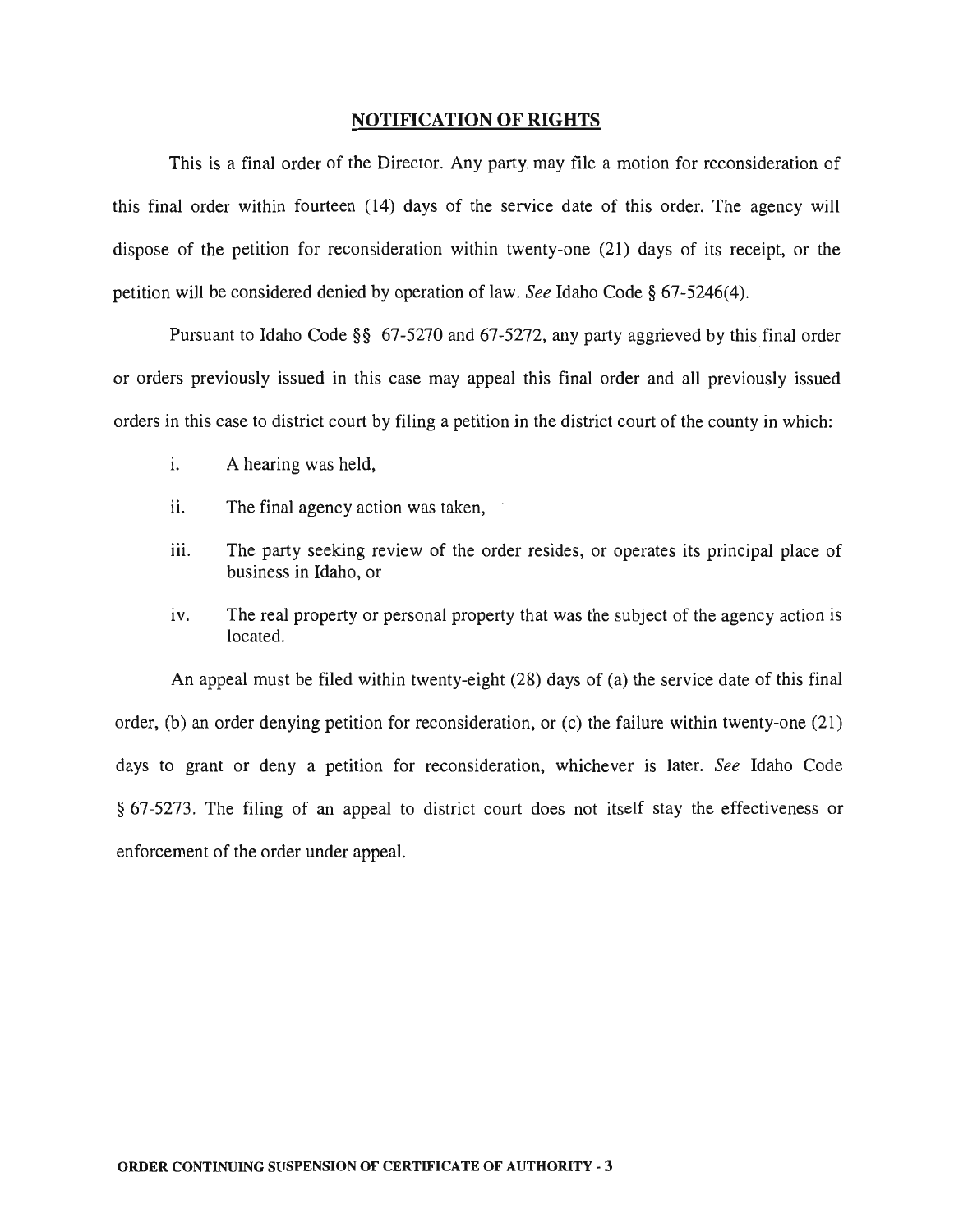#### NOTIFICATION OF RIGHTS

This is a final order of the Director. Any party. may file a motion for reconsideration of this final order within fourteen (14) days of the service date of this order. The agency will dispose of the petition for reconsideration within twenty-one (21) days of its receipt, or the petition will be considered denied by operation of law. *See* Idaho Code § 67-5246(4).

Pursuant to Idaho Code  $\S$ § 67-5270 and 67-5272, any party aggrieved by this final order or orders previously issued in this case may appeal this final order and all previously issued orders in this case to district court by filing a petition in the district court of the county in which:

- 1. A hearing was held,
- ii. The final agency action was taken,
- iii. The party seeking review of the order resides, or operates its principal place of business in Idaho, or
- iv. The real property or personal property that was the subject of the agency action is located.

An appeal must be filed within twenty-eight (28) days of (a) the service date of this final order, (b) an order denying petition for reconsideration, or (c) the failure within twenty-one (21) days to grant or deny a petition for reconsideration, whichever is later. *See* Idaho Code § 67-5273. The filing of an appeal to district court does not itself stay the effectiveness or enforcement of the order under appeal.